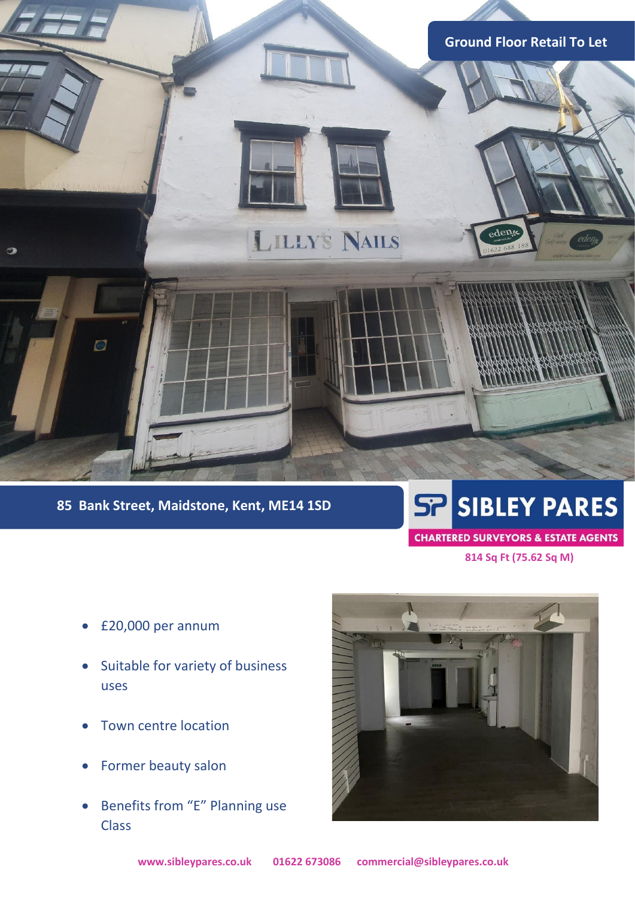

# **85 Bank Street, Maidstone, Kent, ME14 1SD**

# **SP SIBLEY PARES**

# **CHARTERED SURVEYORS & ESTATE AGENTS**

 **814 Sq Ft (75.62 Sq M)**

- £20,000 per annum
- Suitable for variety of business uses
- Town centre location
- Former beauty salon
- Benefits from "E" Planning use Class